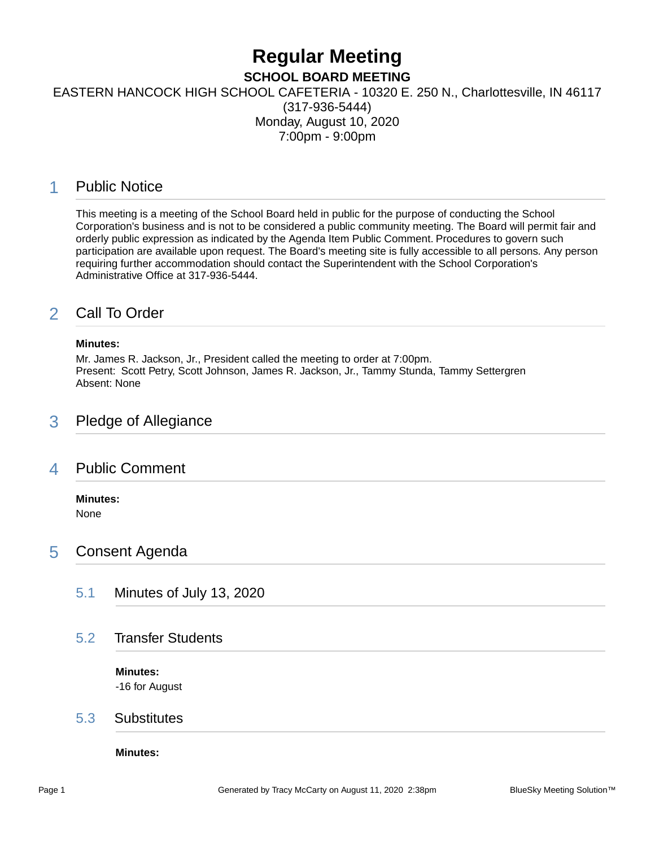# **Regular Meeting**

### **SCHOOL BOARD MEETING**

EASTERN HANCOCK HIGH SCHOOL CAFETERIA - 10320 E. 250 N., Charlottesville, IN 46117

(317-936-5444) Monday, August 10, 2020 7:00pm - 9:00pm

# 1 Public Notice

This meeting is a meeting of the School Board held in public for the purpose of conducting the School Corporation's business and is not to be considered a public community meeting. The Board will permit fair and orderly public expression as indicated by the Agenda Item Public Comment. Procedures to govern such participation are available upon request. The Board's meeting site is fully accessible to all persons. Any person requiring further accommodation should contact the Superintendent with the School Corporation's Administrative Office at 317-936-5444.

# 2 Call To Order

### **Minutes:**

Mr. James R. Jackson, Jr., President called the meeting to order at 7:00pm. Present: Scott Petry, Scott Johnson, James R. Jackson, Jr., Tammy Stunda, Tammy Settergren Absent: None

### 3 Pledge of Allegiance

### 4 Public Comment

### **Minutes:**

None

## 5 Consent Agenda

5.1 Minutes of July 13, 2020

### 5.2 Transfer Students

**Minutes:** -16 for August

### 5.3 Substitutes

**Minutes:**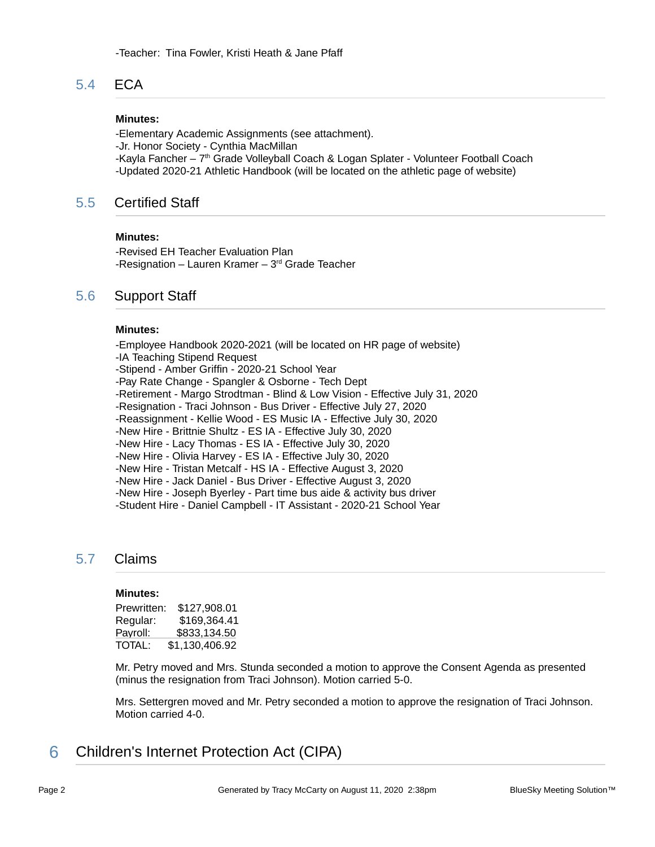### 5.4 ECA

#### **Minutes:**

-Elementary Academic Assignments (see attachment). -Jr. Honor Society - Cynthia MacMillan -Kayla Fancher – 7th Grade Volleyball Coach & Logan Splater - Volunteer Football Coach -Updated 2020-21 Athletic Handbook (will be located on the athletic page of website)

### 5.5 Certified Staff

#### **Minutes:**

-Revised EH Teacher Evaluation Plan -Resignation – Lauren Kramer –  $3<sup>rd</sup>$  Grade Teacher

### 5.6 Support Staff

#### **Minutes:**

-Employee Handbook 2020-2021 (will be located on HR page of website) -IA Teaching Stipend Request -Stipend - Amber Griffin - 2020-21 School Year -Pay Rate Change - Spangler & Osborne - Tech Dept -Retirement - Margo Strodtman - Blind & Low Vision - Effective July 31, 2020 -Resignation - Traci Johnson - Bus Driver - Effective July 27, 2020 -Reassignment - Kellie Wood - ES Music IA - Effective July 30, 2020 -New Hire - Brittnie Shultz - ES IA - Effective July 30, 2020 -New Hire - Lacy Thomas - ES IA - Effective July 30, 2020 -New Hire - Olivia Harvey - ES IA - Effective July 30, 2020 -New Hire - Tristan Metcalf - HS IA - Effective August 3, 2020 -New Hire - Jack Daniel - Bus Driver - Effective August 3, 2020 -New Hire - Joseph Byerley - Part time bus aide & activity bus driver -Student Hire - Daniel Campbell - IT Assistant - 2020-21 School Year

### 5.7 Claims

#### **Minutes:**

| Prewritten: | \$127,908.01   |
|-------------|----------------|
| Regular:    | \$169,364.41   |
| Payroll:    | \$833.134.50   |
| TOTAL:      | \$1,130,406.92 |

Mr. Petry moved and Mrs. Stunda seconded a motion to approve the Consent Agenda as presented (minus the resignation from Traci Johnson). Motion carried 5-0.

Mrs. Settergren moved and Mr. Petry seconded a motion to approve the resignation of Traci Johnson. Motion carried 4-0.

6 Children's Internet Protection Act (CIPA)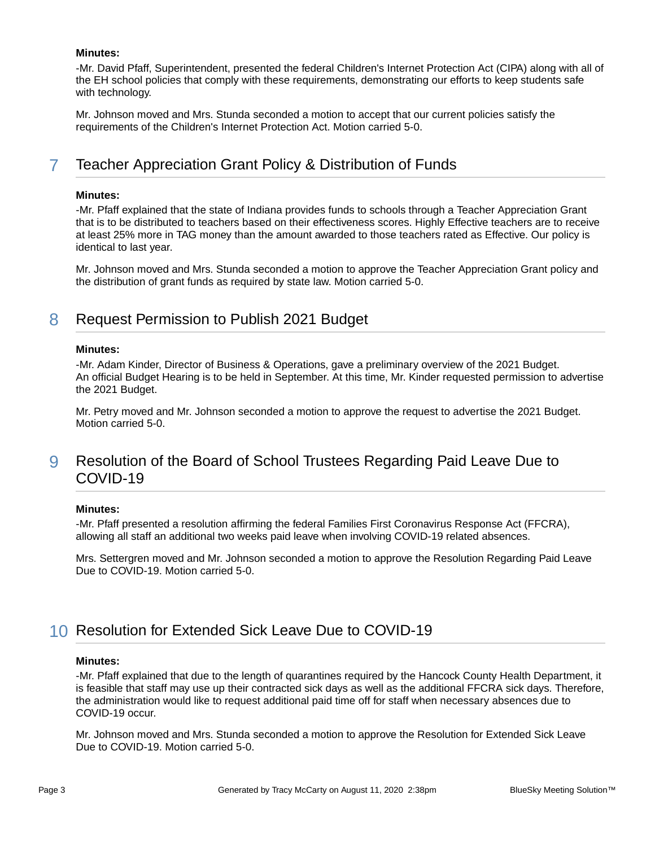#### **Minutes:**

-Mr. David Pfaff, Superintendent, presented the federal Children's Internet Protection Act (CIPA) along with all of the EH school policies that comply with these requirements, demonstrating our efforts to keep students safe with technology.

Mr. Johnson moved and Mrs. Stunda seconded a motion to accept that our current policies satisfy the requirements of the Children's Internet Protection Act. Motion carried 5-0.

# 7 Teacher Appreciation Grant Policy & Distribution of Funds

#### **Minutes:**

-Mr. Pfaff explained that the state of Indiana provides funds to schools through a Teacher Appreciation Grant that is to be distributed to teachers based on their effectiveness scores. Highly Effective teachers are to receive at least 25% more in TAG money than the amount awarded to those teachers rated as Effective. Our policy is identical to last year.

Mr. Johnson moved and Mrs. Stunda seconded a motion to approve the Teacher Appreciation Grant policy and the distribution of grant funds as required by state law. Motion carried 5-0.

### 8 Request Permission to Publish 2021 Budget

#### **Minutes:**

-Mr. Adam Kinder, Director of Business & Operations, gave a preliminary overview of the 2021 Budget. An official Budget Hearing is to be held in September. At this time, Mr. Kinder requested permission to advertise the 2021 Budget.

Mr. Petry moved and Mr. Johnson seconded a motion to approve the request to advertise the 2021 Budget. Motion carried 5-0.

# 9 Resolution of the Board of School Trustees Regarding Paid Leave Due to COVID-19

#### **Minutes:**

-Mr. Pfaff presented a resolution affirming the federal Families First Coronavirus Response Act (FFCRA), allowing all staff an additional two weeks paid leave when involving COVID-19 related absences.

Mrs. Settergren moved and Mr. Johnson seconded a motion to approve the Resolution Regarding Paid Leave Due to COVID-19. Motion carried 5-0.

## 10 Resolution for Extended Sick Leave Due to COVID-19

#### **Minutes:**

-Mr. Pfaff explained that due to the length of quarantines required by the Hancock County Health Department, it is feasible that staff may use up their contracted sick days as well as the additional FFCRA sick days. Therefore, the administration would like to request additional paid time off for staff when necessary absences due to COVID-19 occur.

Mr. Johnson moved and Mrs. Stunda seconded a motion to approve the Resolution for Extended Sick Leave Due to COVID-19. Motion carried 5-0.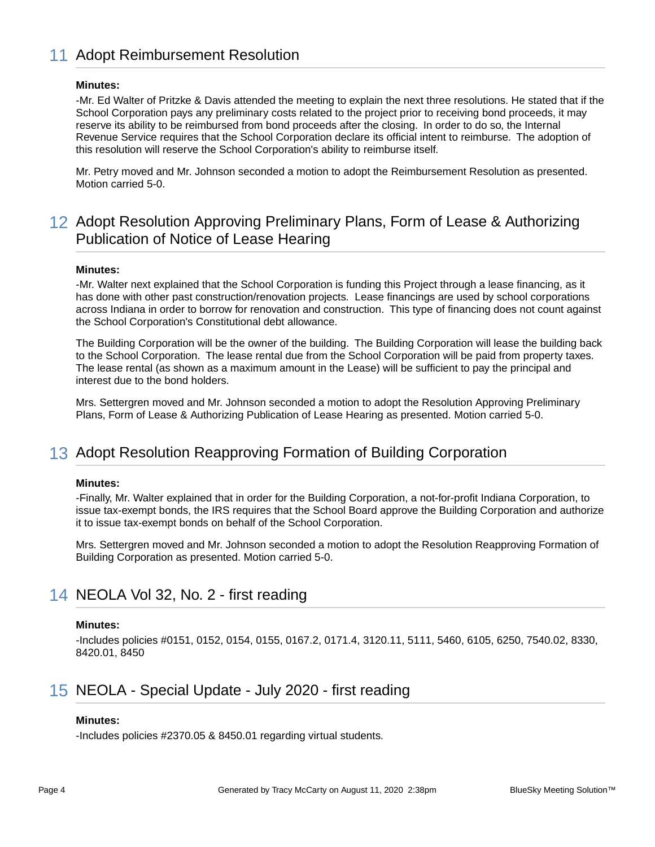# 11 Adopt Reimbursement Resolution

#### **Minutes:**

-Mr. Ed Walter of Pritzke & Davis attended the meeting to explain the next three resolutions. He stated that if the School Corporation pays any preliminary costs related to the project prior to receiving bond proceeds, it may reserve its ability to be reimbursed from bond proceeds after the closing. In order to do so, the Internal Revenue Service requires that the School Corporation declare its official intent to reimburse. The adoption of this resolution will reserve the School Corporation's ability to reimburse itself.

Mr. Petry moved and Mr. Johnson seconded a motion to adopt the Reimbursement Resolution as presented. Motion carried 5-0.

# 12 Adopt Resolution Approving Preliminary Plans, Form of Lease & Authorizing Publication of Notice of Lease Hearing

#### **Minutes:**

-Mr. Walter next explained that the School Corporation is funding this Project through a lease financing, as it has done with other past construction/renovation projects. Lease financings are used by school corporations across Indiana in order to borrow for renovation and construction. This type of financing does not count against the School Corporation's Constitutional debt allowance.

The Building Corporation will be the owner of the building. The Building Corporation will lease the building back to the School Corporation. The lease rental due from the School Corporation will be paid from property taxes. The lease rental (as shown as a maximum amount in the Lease) will be sufficient to pay the principal and interest due to the bond holders.

Mrs. Settergren moved and Mr. Johnson seconded a motion to adopt the Resolution Approving Preliminary Plans, Form of Lease & Authorizing Publication of Lease Hearing as presented. Motion carried 5-0.

## 13 Adopt Resolution Reapproving Formation of Building Corporation

#### **Minutes:**

-Finally, Mr. Walter explained that in order for the Building Corporation, a not-for-profit Indiana Corporation, to issue tax-exempt bonds, the IRS requires that the School Board approve the Building Corporation and authorize it to issue tax-exempt bonds on behalf of the School Corporation.

Mrs. Settergren moved and Mr. Johnson seconded a motion to adopt the Resolution Reapproving Formation of Building Corporation as presented. Motion carried 5-0.

### 14 NEOLA Vol 32, No. 2 - first reading

#### **Minutes:**

-Includes policies #0151, 0152, 0154, 0155, 0167.2, 0171.4, 3120.11, 5111, 5460, 6105, 6250, 7540.02, 8330, 8420.01, 8450

## 15 NEOLA - Special Update - July 2020 - first reading

#### **Minutes:**

-Includes policies #2370.05 & 8450.01 regarding virtual students.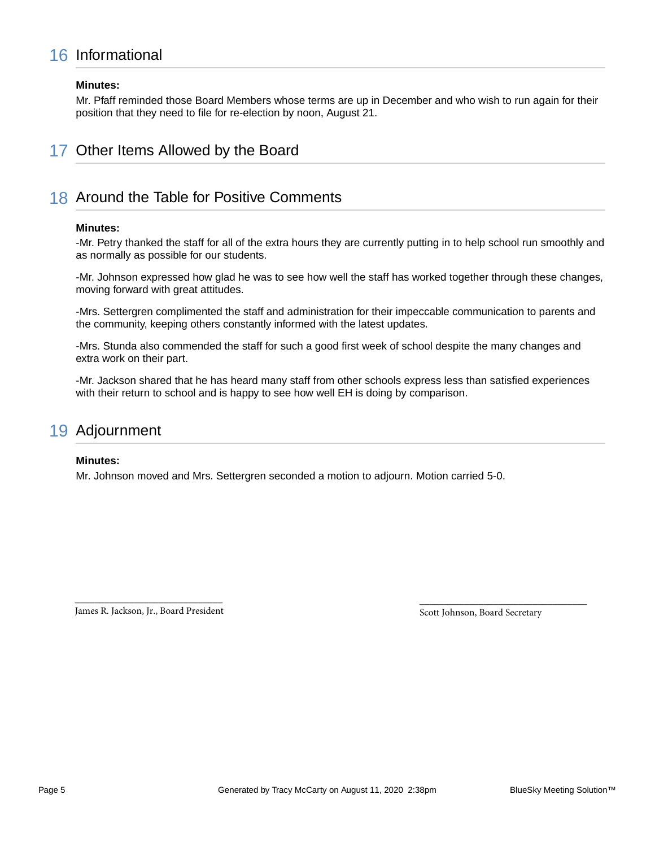# 16 Informational

#### **Minutes:**

Mr. Pfaff reminded those Board Members whose terms are up in December and who wish to run again for their position that they need to file for re-election by noon, August 21.

# 17 Other Items Allowed by the Board

# 18 Around the Table for Positive Comments

#### **Minutes:**

-Mr. Petry thanked the staff for all of the extra hours they are currently putting in to help school run smoothly and as normally as possible for our students.

-Mr. Johnson expressed how glad he was to see how well the staff has worked together through these changes, moving forward with great attitudes.

-Mrs. Settergren complimented the staff and administration for their impeccable communication to parents and the community, keeping others constantly informed with the latest updates.

-Mrs. Stunda also commended the staff for such a good first week of school despite the many changes and extra work on their part.

-Mr. Jackson shared that he has heard many staff from other schools express less than satisfied experiences with their return to school and is happy to see how well EH is doing by comparison.

# 19 Adjournment

#### **Minutes:**

Mr. Johnson moved and Mrs. Settergren seconded a motion to adjourn. Motion carried 5-0.

\_\_\_\_\_\_\_\_\_\_\_\_\_\_\_\_\_\_\_\_\_\_\_\_\_\_\_\_\_\_ James R. Jackson, Jr., Board President

Scott Johnson, Board Secretary

\_\_\_\_\_\_\_\_\_\_\_\_\_\_\_\_\_\_\_\_\_\_\_\_\_\_\_\_\_\_\_\_\_\_